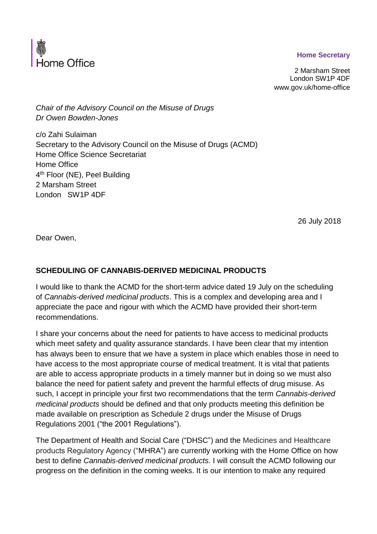## **Home Secretary**



2 Marsham Street London SW1P 4DF www.gov.uk/home-office

*Chair of the Advisory Council on the Misuse of Drugs Dr Owen Bowden-Jones*

c/o Zahi Sulaiman Secretary to the Advisory Council on the Misuse of Drugs (ACMD) Home Office Science Secretariat Home Office 4<sup>th</sup> Floor (NE), Peel Building 2 Marsham Street London SW1P 4DF

26 July 2018

Dear Owen,

## **SCHEDULING OF CANNABIS-DERIVED MEDICINAL PRODUCTS**

I would like to thank the ACMD for the short-term advice dated 19 July on the scheduling of *Cannabis-derived medicinal products*. This is a complex and developing area and I appreciate the pace and rigour with which the ACMD have provided their short-term recommendations.

I share your concerns about the need for patients to have access to medicinal products which meet safety and quality assurance standards. I have been clear that my intention has always been to ensure that we have a system in place which enables those in need to have access to the most appropriate course of medical treatment. It is vital that patients are able to access appropriate products in a timely manner but in doing so we must also balance the need for patient safety and prevent the harmful effects of drug misuse. As such, I accept in principle your first two recommendations that the term *Cannabis-derived medicinal products* should be defined and that only products meeting this definition be made available on prescription as Schedule 2 drugs under the Misuse of Drugs Regulations 2001 ("the 2001 Regulations").

The Department of Health and Social Care ("DHSC") and the Medicines and Healthcare products Regulatory Agency ("MHRA") are currently working with the Home Office on how best to define *Cannabis-derived medicinal products.* I will consult the ACMD following our progress on the definition in the coming weeks. It is our intention to make any required